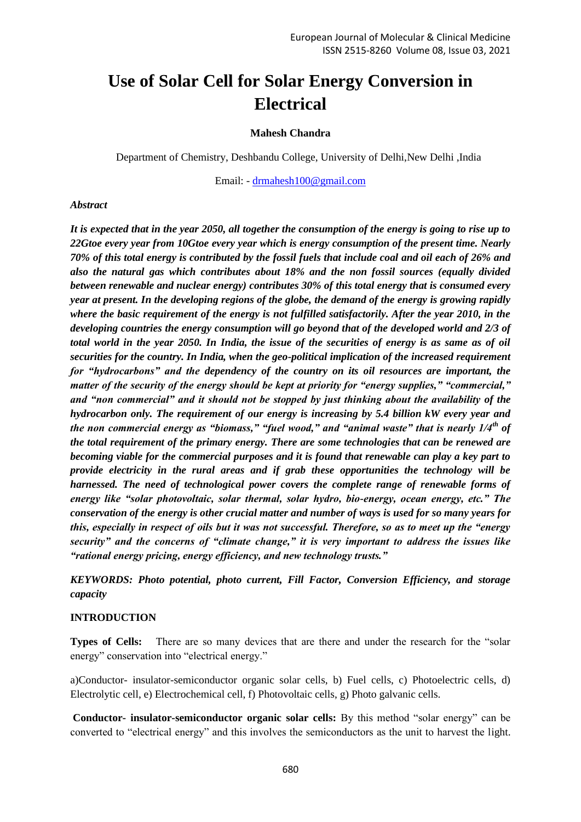# **Use of Solar Cell for Solar Energy Conversion in Electrical**

### **Mahesh Chandra**

Department of Chemistry, Deshbandu College, University of Delhi,New Delhi ,India

Email: - drmahesh100@gmail.com

#### *Abstract*

*It is expected that in the year 2050, all together the consumption of the energy is going to rise up to 22Gtoe every year from 10Gtoe every year which is energy consumption of the present time. Nearly 70% of this total energy is contributed by the fossil fuels that include coal and oil each of 26% and also the natural gas which contributes about 18% and the non fossil sources (equally divided between renewable and nuclear energy) contributes 30% of this total energy that is consumed every year at present. In the developing regions of the globe, the demand of the energy is growing rapidly where the basic requirement of the energy is not fulfilled satisfactorily. After the year 2010, in the developing countries the energy consumption will go beyond that of the developed world and 2/3 of total world in the year 2050. In India, the issue of the securities of energy is as same as of oil securities for the country. In India, when the geo-political implication of the increased requirement for "hydrocarbons" and the dependency of the country on its oil resources are important, the matter of the security of the energy should be kept at priority for "energy supplies," "commercial," and "non commercial" and it should not be stopped by just thinking about the availability of the hydrocarbon only. The requirement of our energy is increasing by 5.4 billion kW every year and the non commercial energy as "biomass," "fuel wood," and "animal waste" that is nearly 1/4th of the total requirement of the primary energy. There are some technologies that can be renewed are becoming viable for the commercial purposes and it is found that renewable can play a key part to provide electricity in the rural areas and if grab these opportunities the technology will be harnessed. The need of technological power covers the complete range of renewable forms of energy like "solar photovoltaic, solar thermal, solar hydro, bio-energy, ocean energy, etc." The conservation of the energy is other crucial matter and number of ways is used for so many years for this, especially in respect of oils but it was not successful. Therefore, so as to meet up the "energy security" and the concerns of "climate change," it is very important to address the issues like "rational energy pricing, energy efficiency, and new technology trusts."* 

*KEYWORDS: Photo potential, photo current, Fill Factor, Conversion Efficiency, and storage capacity* 

#### **INTRODUCTION**

**Types of Cells:** There are so many devices that are there and under the research for the "solar energy" conservation into "electrical energy."

a)Conductor- insulator-semiconductor organic solar cells, b) Fuel cells, c) Photoelectric cells, d) Electrolytic cell, e) Electrochemical cell, f) Photovoltaic cells, g) Photo galvanic cells.

**Conductor- insulator-semiconductor organic solar cells:** By this method "solar energy" can be converted to "electrical energy" and this involves the semiconductors as the unit to harvest the light.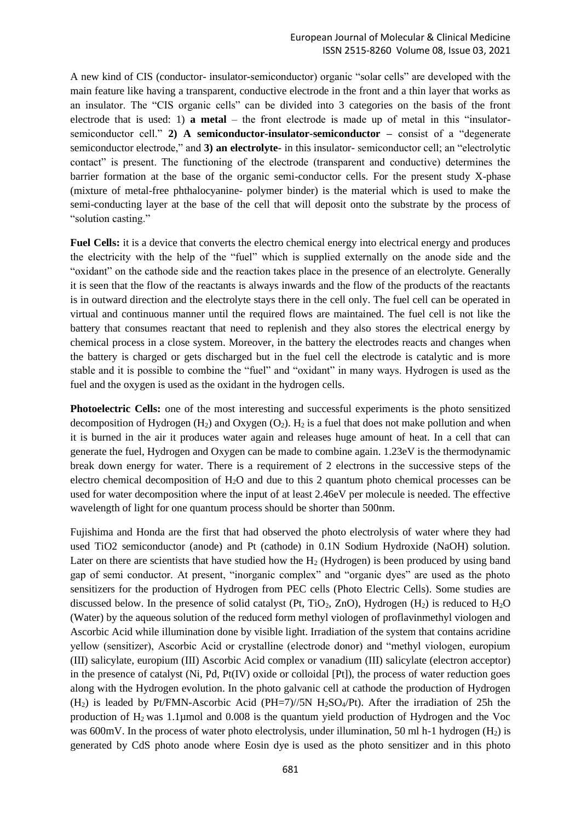A new kind of CIS (conductor- insulator-semiconductor) organic "solar cells" are developed with the main feature like having a transparent, conductive electrode in the front and a thin layer that works as an insulator. The "CIS organic cells" can be divided into 3 categories on the basis of the front electrode that is used: 1) **a metal** – the front electrode is made up of metal in this "insulatorsemiconductor cell." **2) A semiconductor-insulator-semiconductor –** consist of a "degenerate semiconductor electrode," and **3) an electrolyte-** in this insulator- semiconductor cell; an "electrolytic contact" is present. The functioning of the electrode (transparent and conductive) determines the barrier formation at the base of the organic semi-conductor cells. For the present study X-phase (mixture of metal-free phthalocyanine- polymer binder) is the material which is used to make the semi-conducting layer at the base of the cell that will deposit onto the substrate by the process of "solution casting."

**Fuel Cells:** it is a device that converts the electro chemical energy into electrical energy and produces the electricity with the help of the "fuel" which is supplied externally on the anode side and the "oxidant" on the cathode side and the reaction takes place in the presence of an electrolyte. Generally it is seen that the flow of the reactants is always inwards and the flow of the products of the reactants is in outward direction and the electrolyte stays there in the cell only. The fuel cell can be operated in virtual and continuous manner until the required flows are maintained. The fuel cell is not like the battery that consumes reactant that need to replenish and they also stores the electrical energy by chemical process in a close system. Moreover, in the battery the electrodes reacts and changes when the battery is charged or gets discharged but in the fuel cell the electrode is catalytic and is more stable and it is possible to combine the "fuel" and "oxidant" in many ways. Hydrogen is used as the fuel and the oxygen is used as the oxidant in the hydrogen cells.

**Photoelectric Cells:** one of the most interesting and successful experiments is the photo sensitized decomposition of Hydrogen  $(H_2)$  and Oxygen  $(O_2)$ .  $H_2$  is a fuel that does not make pollution and when it is burned in the air it produces water again and releases huge amount of heat. In a cell that can generate the fuel, Hydrogen and Oxygen can be made to combine again. 1.23eV is the thermodynamic break down energy for water. There is a requirement of 2 electrons in the successive steps of the electro chemical decomposition of H2O and due to this 2 quantum photo chemical processes can be used for water decomposition where the input of at least 2.46eV per molecule is needed. The effective wavelength of light for one quantum process should be shorter than 500nm.

Fujishima and Honda are the first that had observed the photo electrolysis of water where they had used TiO2 semiconductor (anode) and Pt (cathode) in 0.1N Sodium Hydroxide (NaOH) solution. Later on there are scientists that have studied how the  $H_2$  (Hydrogen) is been produced by using band gap of semi conductor. At present, "inorganic complex" and "organic dyes" are used as the photo sensitizers for the production of Hydrogen from PEC cells (Photo Electric Cells). Some studies are discussed below. In the presence of solid catalyst (Pt, TiO<sub>2</sub>, ZnO), Hydrogen (H<sub>2</sub>) is reduced to H<sub>2</sub>O (Water) by the aqueous solution of the reduced form methyl viologen of proflavinmethyl viologen and Ascorbic Acid while illumination done by visible light. Irradiation of the system that contains acridine yellow (sensitizer), Ascorbic Acid or crystalline (electrode donor) and "methyl viologen, europium (III) salicylate, europium (III) Ascorbic Acid complex or vanadium (III) salicylate (electron acceptor) in the presence of catalyst (Ni, Pd, Pt(IV) oxide or colloidal  $[Pt]$ ), the process of water reduction goes along with the Hydrogen evolution. In the photo galvanic cell at cathode the production of Hydrogen  $(H<sub>2</sub>)$  is leaded by Pt/FMN-Ascorbic Acid (PH=7)//5N  $H<sub>2</sub>SO<sub>4</sub>/Pt$ ). After the irradiation of 25h the production of  $H_2$  was 1.1µmol and 0.008 is the quantum yield production of Hydrogen and the Voc was 600mV. In the process of water photo electrolysis, under illumination, 50 ml h-1 hydrogen  $(H<sub>2</sub>)$  is generated by CdS photo anode where Eosin dye is used as the photo sensitizer and in this photo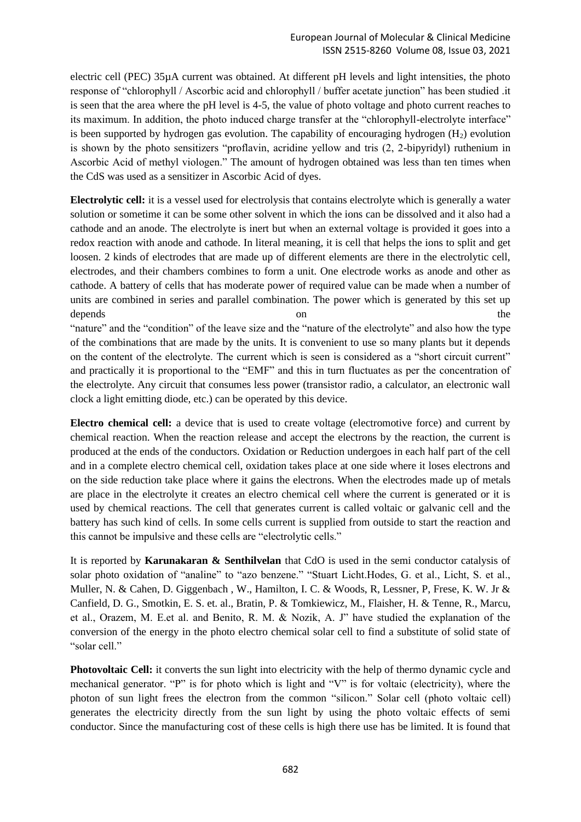electric cell (PEC) 35µA current was obtained. At different pH levels and light intensities, the photo response of "chlorophyll / Ascorbic acid and chlorophyll / buffer acetate junction" has been studied .it is seen that the area where the pH level is 4-5, the value of photo voltage and photo current reaches to its maximum. In addition, the photo induced charge transfer at the "chlorophyll-electrolyte interface" is been supported by hydrogen gas evolution. The capability of encouraging hydrogen  $(H<sub>2</sub>)$  evolution is shown by the photo sensitizers "proflavin, acridine yellow and tris (2, 2-bipyridyl) ruthenium in Ascorbic Acid of methyl viologen." The amount of hydrogen obtained was less than ten times when the CdS was used as a sensitizer in Ascorbic Acid of dyes.

**Electrolytic cell:** it is a vessel used for electrolysis that contains electrolyte which is generally a water solution or sometime it can be some other solvent in which the ions can be dissolved and it also had a cathode and an anode. The electrolyte is inert but when an external voltage is provided it goes into a redox reaction with anode and cathode. In literal meaning, it is cell that helps the ions to split and get loosen. 2 kinds of electrodes that are made up of different elements are there in the electrolytic cell, electrodes, and their chambers combines to form a unit. One electrode works as anode and other as cathode. A battery of cells that has moderate power of required value can be made when a number of units are combined in series and parallel combination. The power which is generated by this set up depends on the contract of the contract of the contract of the contract of the contract of the contract of the contract of the contract of the contract of the contract of the contract of the contract of the contract of the "nature" and the "condition" of the leave size and the "nature of the electrolyte" and also how the type of the combinations that are made by the units. It is convenient to use so many plants but it depends on the content of the electrolyte. The current which is seen is considered as a "short circuit current" and practically it is proportional to the "EMF" and this in turn fluctuates as per the concentration of the electrolyte. Any circuit that consumes less power (transistor radio, a calculator, an electronic wall clock a light emitting diode, etc.) can be operated by this device.

**Electro chemical cell:** a device that is used to create voltage (electromotive force) and current by chemical reaction. When the reaction release and accept the electrons by the reaction, the current is produced at the ends of the conductors. Oxidation or Reduction undergoes in each half part of the cell and in a complete electro chemical cell, oxidation takes place at one side where it loses electrons and on the side reduction take place where it gains the electrons. When the electrodes made up of metals are place in the electrolyte it creates an electro chemical cell where the current is generated or it is used by chemical reactions. The cell that generates current is called voltaic or galvanic cell and the battery has such kind of cells. In some cells current is supplied from outside to start the reaction and this cannot be impulsive and these cells are "electrolytic cells."

It is reported by **Karunakaran & Senthilvelan** that CdO is used in the semi conductor catalysis of solar photo oxidation of "analine" to "azo benzene." "Stuart Licht.Hodes, G. et al., Licht, S. et al., Muller, N. & Cahen, D. Giggenbach , W., Hamilton, I. C. & Woods, R, Lessner, P, Frese, K. W. Jr & Canfield, D. G., Smotkin, E. S. et. al., Bratin, P. & Tomkiewicz, M., Flaisher, H. & Tenne, R., Marcu, et al., Orazem, M. E.et al. and Benito, R. M. & Nozik, A. J" have studied the explanation of the conversion of the energy in the photo electro chemical solar cell to find a substitute of solid state of "solar cell."

**Photovoltaic Cell:** it converts the sun light into electricity with the help of thermo dynamic cycle and mechanical generator. "P" is for photo which is light and "V" is for voltaic (electricity), where the photon of sun light frees the electron from the common "silicon." Solar cell (photo voltaic cell) generates the electricity directly from the sun light by using the photo voltaic effects of semi conductor. Since the manufacturing cost of these cells is high there use has be limited. It is found that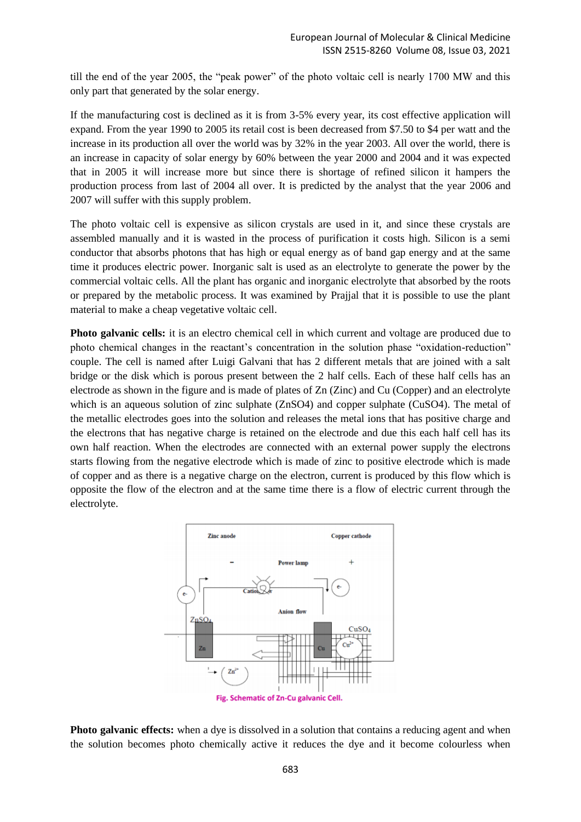till the end of the year 2005, the "peak power" of the photo voltaic cell is nearly 1700 MW and this only part that generated by the solar energy.

If the manufacturing cost is declined as it is from 3-5% every year, its cost effective application will expand. From the year 1990 to 2005 its retail cost is been decreased from \$7.50 to \$4 per watt and the increase in its production all over the world was by 32% in the year 2003. All over the world, there is an increase in capacity of solar energy by 60% between the year 2000 and 2004 and it was expected that in 2005 it will increase more but since there is shortage of refined silicon it hampers the production process from last of 2004 all over. It is predicted by the analyst that the year 2006 and 2007 will suffer with this supply problem.

The photo voltaic cell is expensive as silicon crystals are used in it, and since these crystals are assembled manually and it is wasted in the process of purification it costs high. Silicon is a semi conductor that absorbs photons that has high or equal energy as of band gap energy and at the same time it produces electric power. Inorganic salt is used as an electrolyte to generate the power by the commercial voltaic cells. All the plant has organic and inorganic electrolyte that absorbed by the roots or prepared by the metabolic process. It was examined by Prajjal that it is possible to use the plant material to make a cheap vegetative voltaic cell.

**Photo galvanic cells:** it is an electro chemical cell in which current and voltage are produced due to photo chemical changes in the reactant's concentration in the solution phase "oxidation-reduction" couple. The cell is named after Luigi Galvani that has 2 different metals that are joined with a salt bridge or the disk which is porous present between the 2 half cells. Each of these half cells has an electrode as shown in the figure and is made of plates of Zn (Zinc) and Cu (Copper) and an electrolyte which is an aqueous solution of zinc sulphate (ZnSO4) and copper sulphate (CuSO4). The metal of the metallic electrodes goes into the solution and releases the metal ions that has positive charge and the electrons that has negative charge is retained on the electrode and due this each half cell has its own half reaction. When the electrodes are connected with an external power supply the electrons starts flowing from the negative electrode which is made of zinc to positive electrode which is made of copper and as there is a negative charge on the electron, current is produced by this flow which is opposite the flow of the electron and at the same time there is a flow of electric current through the electrolyte.



**Photo galvanic effects:** when a dye is dissolved in a solution that contains a reducing agent and when the solution becomes photo chemically active it reduces the dye and it become colourless when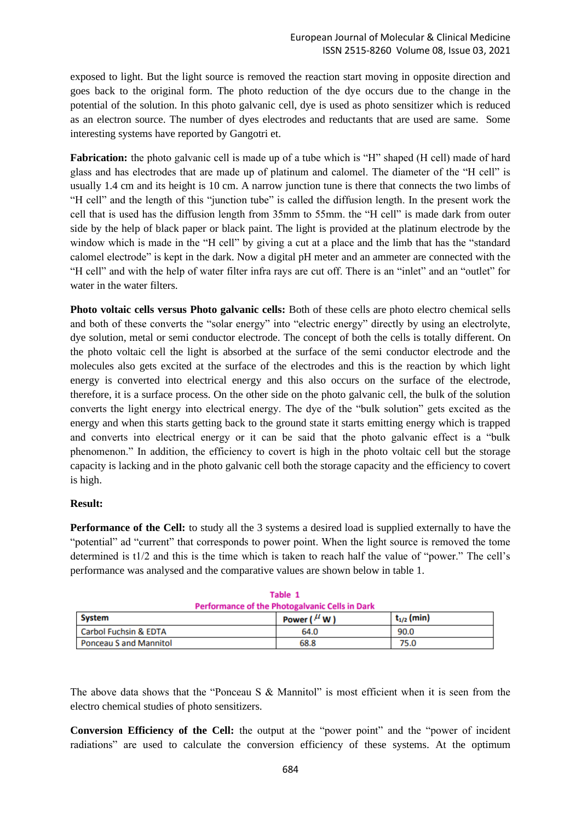exposed to light. But the light source is removed the reaction start moving in opposite direction and goes back to the original form. The photo reduction of the dye occurs due to the change in the potential of the solution. In this photo galvanic cell, dye is used as photo sensitizer which is reduced as an electron source. The number of dyes electrodes and reductants that are used are same. Some interesting systems have reported by Gangotri et.

**Fabrication:** the photo galvanic cell is made up of a tube which is "H" shaped (H cell) made of hard glass and has electrodes that are made up of platinum and calomel. The diameter of the "H cell" is usually 1.4 cm and its height is 10 cm. A narrow junction tune is there that connects the two limbs of "H cell" and the length of this "junction tube" is called the diffusion length. In the present work the cell that is used has the diffusion length from 35mm to 55mm. the "H cell" is made dark from outer side by the help of black paper or black paint. The light is provided at the platinum electrode by the window which is made in the "H cell" by giving a cut at a place and the limb that has the "standard" calomel electrode" is kept in the dark. Now a digital pH meter and an ammeter are connected with the "H cell" and with the help of water filter infra rays are cut off. There is an "inlet" and an "outlet" for water in the water filters.

**Photo voltaic cells versus Photo galvanic cells:** Both of these cells are photo electro chemical sells and both of these converts the "solar energy" into "electric energy" directly by using an electrolyte, dye solution, metal or semi conductor electrode. The concept of both the cells is totally different. On the photo voltaic cell the light is absorbed at the surface of the semi conductor electrode and the molecules also gets excited at the surface of the electrodes and this is the reaction by which light energy is converted into electrical energy and this also occurs on the surface of the electrode, therefore, it is a surface process. On the other side on the photo galvanic cell, the bulk of the solution converts the light energy into electrical energy. The dye of the "bulk solution" gets excited as the energy and when this starts getting back to the ground state it starts emitting energy which is trapped and converts into electrical energy or it can be said that the photo galvanic effect is a "bulk phenomenon." In addition, the efficiency to covert is high in the photo voltaic cell but the storage capacity is lacking and in the photo galvanic cell both the storage capacity and the efficiency to covert is high.

## **Result:**

**Performance of the Cell:** to study all the 3 systems a desired load is supplied externally to have the "potential" ad "current" that corresponds to power point. When the light source is removed the tome determined is t1/2 and this is the time which is taken to reach half the value of "power." The cell's performance was analysed and the comparative values are shown below in table 1.

| <b>Performance of the Photogalvanic Cells in Dark</b> |                     |                 |  |  |  |
|-------------------------------------------------------|---------------------|-----------------|--|--|--|
| <b>System</b>                                         | Power ( $^{\mu}$ W) | $t_{1/2}$ (min) |  |  |  |
| Carbol Fuchsin & EDTA                                 | 64.0                | 90.0            |  |  |  |
| Ponceau S and Mannitol                                | 68.8                | 75.0            |  |  |  |

|                                                       | Table 1 |  |  |  |
|-------------------------------------------------------|---------|--|--|--|
| <b>Performance of the Photogalvanic Cells in Dark</b> |         |  |  |  |
|                                                       |         |  |  |  |

The above data shows that the "Ponceau S & Mannitol" is most efficient when it is seen from the electro chemical studies of photo sensitizers.

**Conversion Efficiency of the Cell:** the output at the "power point" and the "power of incident radiations" are used to calculate the conversion efficiency of these systems. At the optimum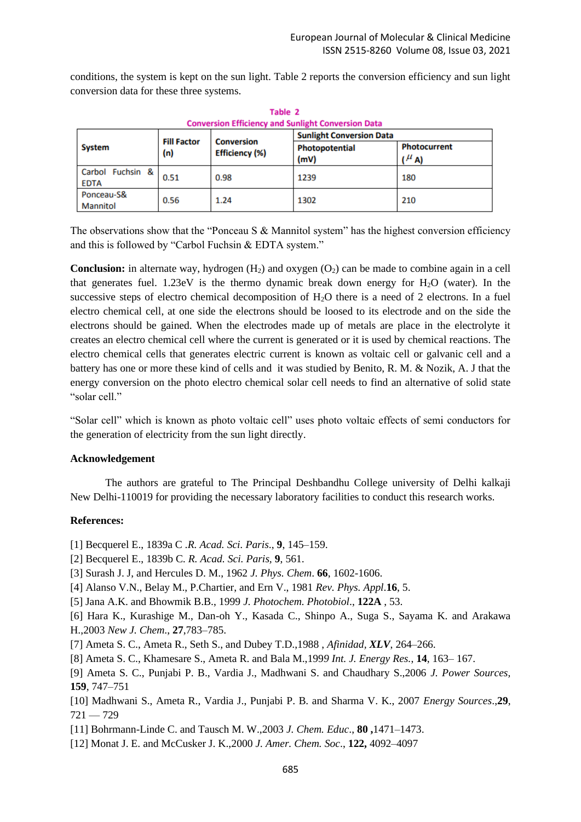conditions, the system is kept on the sun light. Table 2 reports the conversion efficiency and sun light conversion data for these three systems.

| <b>Conversion Efficiency and Sunlight Conversion Data</b> |                           |                                     |                                 |                                     |  |  |
|-----------------------------------------------------------|---------------------------|-------------------------------------|---------------------------------|-------------------------------------|--|--|
| <b>System</b>                                             | <b>Fill Factor</b><br>(n) | <b>Conversion</b><br>Efficiency (%) | <b>Sunlight Conversion Data</b> |                                     |  |  |
|                                                           |                           |                                     | Photopotential<br>(mV)          | <b>Photocurrent</b><br>$(^{\mu}$ A) |  |  |
| Carbol Fuchsin &<br><b>EDTA</b>                           | 0.51                      | 0.98                                | 1239                            | 180                                 |  |  |
| Ponceau-S&<br>Mannitol                                    | 0.56                      | 1.24                                | 1302                            | 210                                 |  |  |

Table 2

The observations show that the "Ponceau S & Mannitol system" has the highest conversion efficiency and this is followed by "Carbol Fuchsin & EDTA system."

**Conclusion:** in alternate way, hydrogen (H<sub>2</sub>) and oxygen (O<sub>2</sub>) can be made to combine again in a cell that generates fuel. 1.23eV is the thermo dynamic break down energy for  $H_2O$  (water). In the successive steps of electro chemical decomposition of H<sub>2</sub>O there is a need of 2 electrons. In a fuel electro chemical cell, at one side the electrons should be loosed to its electrode and on the side the electrons should be gained. When the electrodes made up of metals are place in the electrolyte it creates an electro chemical cell where the current is generated or it is used by chemical reactions. The electro chemical cells that generates electric current is known as voltaic cell or galvanic cell and a battery has one or more these kind of cells and it was studied by Benito, R. M. & Nozik, A. J that the energy conversion on the photo electro chemical solar cell needs to find an alternative of solid state "solar cell."

"Solar cell" which is known as photo voltaic cell" uses photo voltaic effects of semi conductors for the generation of electricity from the sun light directly.

#### **Acknowledgement**

The authors are grateful to The Principal Deshbandhu College university of Delhi kalkaji New Delhi-110019 for providing the necessary laboratory facilities to conduct this research works.

#### **References:**

- [1] Becquerel E., 1839a C *.R. Acad. Sci. Paris*., **9**, 145–159.
- [2] Becquerel E., 1839b C*. R. Acad. Sci. Paris,* **9**, 561.
- [3] Surash J. J, and Hercules D. M., 1962 *J. Phys. Chem*. **66**, 1602-1606.
- [4] Alanso V.N., Belay M., P.Chartier, and Ern V., 1981 *Rev. Phys. Appl*.**16**, 5.
- [5] Jana A.K. and Bhowmik B.B., 1999 *J. Photochem. Photobiol*., **122A** , 53.
- [6] Hara K., Kurashige M., Dan-oh Y., Kasada C., Shinpo A., Suga S., Sayama K. and Arakawa H.,2003 *New J. Chem*., **27**,783–785.
- [7] Ameta S. C., Ameta R., Seth S., and Dubey T.D.,1988 , *Afinidad, XLV*, 264–266.
- [8] Ameta S. C., Khamesare S., Ameta R. and Bala M.,199*9 Int. J. Energy Res.*, **14**, 163– 167.
- [9] Ameta S. C., Punjabi P. B., Vardia J., Madhwani S. and Chaudhary S.,2006 *J. Power Sources,*  **159**, 747–751
- [10] Madhwani S., Ameta R., Vardia J., Punjabi P. B. and Sharma V. K., 2007 *Energy Sources*.,**29**,  $721 - 729$
- [11] Bohrmann-Linde C. and Tausch M. W.,2003 *J. Chem. Educ*., **80 ,**1471–1473.
- [12] Monat J. E. and McCusker J. K.,2000 *J. Amer. Chem. Soc*., **122,** 4092–4097